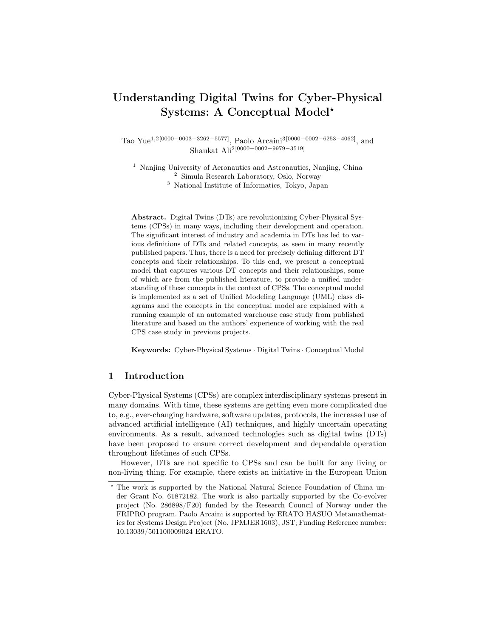# Understanding Digital Twins for Cyber-Physical Systems: A Conceptual Model?

Tao Yue1,2[0000−0003−3262−5577], Paolo Arcaini3[0000−0002−6253−4062], and Shaukat Ali2[0000−0002−9979−3519]

<sup>1</sup> Nanjing University of Aeronautics and Astronautics, Nanjing, China <sup>2</sup> Simula Research Laboratory, Oslo, Norway

<sup>3</sup> National Institute of Informatics, Tokyo, Japan

Abstract. Digital Twins (DTs) are revolutionizing Cyber-Physical Systems (CPSs) in many ways, including their development and operation. The significant interest of industry and academia in DTs has led to various definitions of DTs and related concepts, as seen in many recently published papers. Thus, there is a need for precisely defining different DT concepts and their relationships. To this end, we present a conceptual model that captures various DT concepts and their relationships, some of which are from the published literature, to provide a unified understanding of these concepts in the context of CPSs. The conceptual model is implemented as a set of Unified Modeling Language (UML) class diagrams and the concepts in the conceptual model are explained with a running example of an automated warehouse case study from published literature and based on the authors' experience of working with the real CPS case study in previous projects.

Keywords: Cyber-Physical Systems · Digital Twins · Conceptual Model

#### 1 Introduction

Cyber-Physical Systems (CPSs) are complex interdisciplinary systems present in many domains. With time, these systems are getting even more complicated due to, e.g., ever-changing hardware, software updates, protocols, the increased use of advanced artificial intelligence (AI) techniques, and highly uncertain operating environments. As a result, advanced technologies such as digital twins (DTs) have been proposed to ensure correct development and dependable operation throughout lifetimes of such CPSs.

However, DTs are not specific to CPSs and can be built for any living or non-living thing. For example, there exists an initiative in the European Union

<sup>?</sup> The work is supported by the National Natural Science Foundation of China under Grant No. 61872182. The work is also partially supported by the Co-evolver project (No. 286898/F20) funded by the Research Council of Norway under the FRIPRO program. Paolo Arcaini is supported by ERATO HASUO Metamathematics for Systems Design Project (No. JPMJER1603), JST; Funding Reference number: 10.13039/501100009024 ERATO.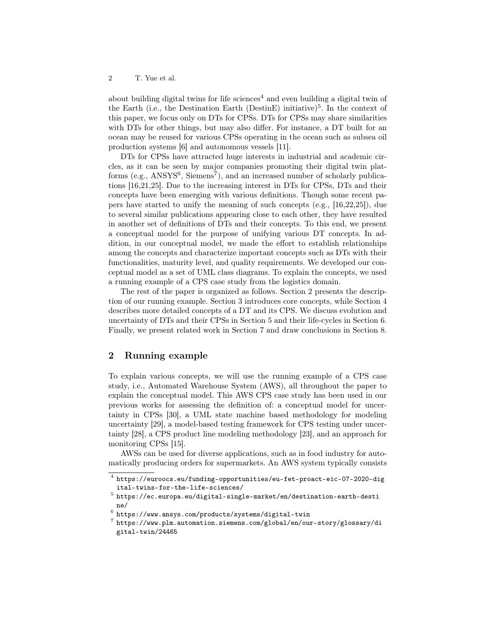about building digital twins for life sciences<sup>[4](#page-1-0)</sup> and even building a digital twin of the Earth (i.e., the Destination Earth (DestinE) initiative)<sup>[5](#page-1-1)</sup>. In the context of this paper, we focus only on DTs for CPSs. DTs for CPSs may share similarities with DTs for other things, but may also differ. For instance, a DT built for an ocean may be reused for various CPSs operating in the ocean such as subsea oil production systems [\[6\]](#page-16-0) and autonomous vessels [\[11\]](#page-16-1).

DTs for CPSs have attracted huge interests in industrial and academic circles, as it can be seen by major companies promoting their digital twin plat-forms (e.g., ANSYS<sup>[6](#page-1-2)</sup>, Siemens<sup>[7](#page-1-3)</sup>), and an increased number of scholarly publications [\[16,](#page-16-2)[21,](#page-17-0)[25\]](#page-17-1). Due to the increasing interest in DTs for CPSs, DTs and their concepts have been emerging with various definitions. Though some recent papers have started to unify the meaning of such concepts (e.g., [\[16,](#page-16-2)[22,](#page-17-2)[25\]](#page-17-1)), due to several similar publications appearing close to each other, they have resulted in another set of definitions of DTs and their concepts. To this end, we present a conceptual model for the purpose of unifying various DT concepts. In addition, in our conceptual model, we made the effort to establish relationships among the concepts and characterize important concepts such as DTs with their functionalities, maturity level, and quality requirements. We developed our conceptual model as a set of UML class diagrams. To explain the concepts, we used a running example of a CPS case study from the logistics domain.

The rest of the paper is organized as follows. Section [2](#page-1-4) presents the description of our running example. Section [3](#page-2-0) introduces core concepts, while Section [4](#page-4-0) describes more detailed concepts of a DT and its CPS. We discuss evolution and uncertainty of DTs and their CPSs in Section [5](#page-9-0) and their life-cycles in Section [6.](#page-12-0) Finally, we present related work in Section [7](#page-13-0) and draw conclusions in Section [8.](#page-15-0)

## <span id="page-1-4"></span>2 Running example

To explain various concepts, we will use the running example of a CPS case study, i.e., Automated Warehouse System (AWS), all throughout the paper to explain the conceptual model. This AWS CPS case study has been used in our previous works for assessing the definition of: a conceptual model for uncertainty in CPSs [\[30\]](#page-17-3), a UML state machine based methodology for modeling uncertainty [\[29\]](#page-17-4), a model-based testing framework for CPS testing under uncertainty [\[28\]](#page-17-5), a CPS product line modeling methodology [\[23\]](#page-17-6), and an approach for monitoring CPSs [\[15\]](#page-16-3).

AWSs can be used for diverse applications, such as in food industry for automatically producing orders for supermarkets. An AWS system typically consists

<span id="page-1-0"></span> $^4$  [https://euroocs.eu/funding-opportunities/eu-fet-proact-eic-07-2020-dig](https://euroocs.eu/funding-opportunities/eu-fet-proact-eic-07-2020-digital-twins-for-the-life-sciences/) [ital-twins-for-the-life-sciences/](https://euroocs.eu/funding-opportunities/eu-fet-proact-eic-07-2020-digital-twins-for-the-life-sciences/)

<span id="page-1-1"></span> $^5$  [https://ec.europa.eu/digital-single-market/en/destination-earth-desti](https://ec.europa.eu/digital-single-market/en/destination-earth-destine/) [ne/](https://ec.europa.eu/digital-single-market/en/destination-earth-destine/)

<span id="page-1-2"></span> $^6$  <https://www.ansys.com/products/systems/digital-twin>

<span id="page-1-3"></span> $^7$  [https://www.plm.automation.siemens.com/global/en/our-story/glossary/di](https://www.plm.automation.siemens.com/global/en/our-story/glossary/digital-twin/24465) [gital-twin/24465](https://www.plm.automation.siemens.com/global/en/our-story/glossary/digital-twin/24465)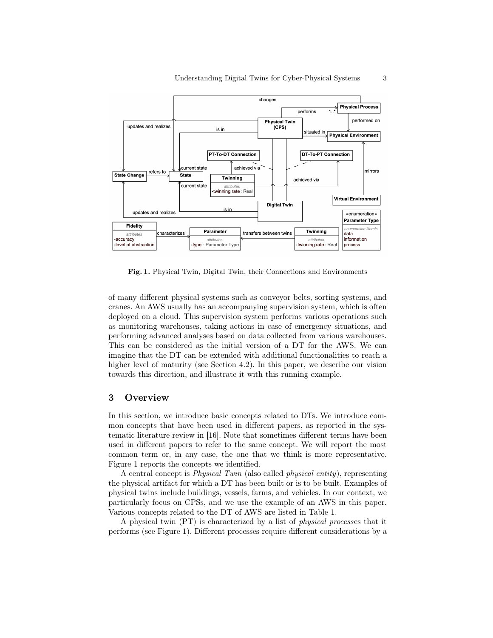

<span id="page-2-1"></span>Fig. 1. Physical Twin, Digital Twin, their Connections and Environments

of many different physical systems such as conveyor belts, sorting systems, and cranes. An AWS usually has an accompanying supervision system, which is often deployed on a cloud. This supervision system performs various operations such as monitoring warehouses, taking actions in case of emergency situations, and performing advanced analyses based on data collected from various warehouses. This can be considered as the initial version of a DT for the AWS. We can imagine that the DT can be extended with additional functionalities to reach a higher level of maturity (see Section [4.2\)](#page-6-0). In this paper, we describe our vision towards this direction, and illustrate it with this running example.

## <span id="page-2-0"></span>3 Overview

In this section, we introduce basic concepts related to DTs. We introduce common concepts that have been used in different papers, as reported in the systematic literature review in [\[16\]](#page-16-2). Note that sometimes different terms have been used in different papers to refer to the same concept. We will report the most common term or, in any case, the one that we think is more representative. Figure [1](#page-2-1) reports the concepts we identified.

A central concept is Physical Twin (also called physical entity), representing the physical artifact for which a DT has been built or is to be built. Examples of physical twins include buildings, vessels, farms, and vehicles. In our context, we particularly focus on CPSs, and we use the example of an AWS in this paper. Various concepts related to the DT of AWS are listed in Table [1.](#page-5-0)

A physical twin (PT) is characterized by a list of physical processes that it performs (see Figure [1\)](#page-2-1). Different processes require different considerations by a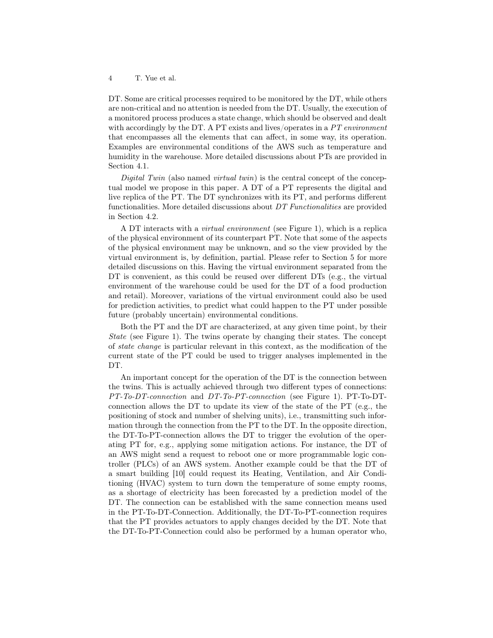DT. Some are critical processes required to be monitored by the DT, while others are non-critical and no attention is needed from the DT. Usually, the execution of a monitored process produces a state change, which should be observed and dealt with accordingly by the DT. A PT exists and lives/operates in a  $PT$  environment that encompasses all the elements that can affect, in some way, its operation. Examples are environmental conditions of the AWS such as temperature and humidity in the warehouse. More detailed discussions about PTs are provided in Section [4.1.](#page-4-1)

Digital Twin (also named virtual twin) is the central concept of the conceptual model we propose in this paper. A DT of a PT represents the digital and live replica of the PT. The DT synchronizes with its PT, and performs different functionalities. More detailed discussions about DT Functionalities are provided in Section [4.2.](#page-6-0)

A DT interacts with a virtual environment (see Figure [1\)](#page-2-1), which is a replica of the physical environment of its counterpart PT. Note that some of the aspects of the physical environment may be unknown, and so the view provided by the virtual environment is, by definition, partial. Please refer to Section [5](#page-9-0) for more detailed discussions on this. Having the virtual environment separated from the DT is convenient, as this could be reused over different DTs (e.g., the virtual environment of the warehouse could be used for the DT of a food production and retail). Moreover, variations of the virtual environment could also be used for prediction activities, to predict what could happen to the PT under possible future (probably uncertain) environmental conditions.

Both the PT and the DT are characterized, at any given time point, by their State (see Figure [1\)](#page-2-1). The twins operate by changing their states. The concept of state change is particular relevant in this context, as the modification of the current state of the PT could be used to trigger analyses implemented in the DT.

An important concept for the operation of the DT is the connection between the twins. This is actually achieved through two different types of connections: PT-To-DT-connection and DT-To-PT-connection (see Figure [1\)](#page-2-1). PT-To-DTconnection allows the DT to update its view of the state of the PT (e.g., the positioning of stock and number of shelving units), i.e., transmitting such information through the connection from the PT to the DT. In the opposite direction, the DT-To-PT-connection allows the DT to trigger the evolution of the operating PT for, e.g., applying some mitigation actions. For instance, the DT of an AWS might send a request to reboot one or more programmable logic controller (PLCs) of an AWS system. Another example could be that the DT of a smart building [\[10\]](#page-16-4) could request its Heating, Ventilation, and Air Conditioning (HVAC) system to turn down the temperature of some empty rooms, as a shortage of electricity has been forecasted by a prediction model of the DT. The connection can be established with the same connection means used in the PT-To-DT-Connection. Additionally, the DT-To-PT-connection requires that the PT provides actuators to apply changes decided by the DT. Note that the DT-To-PT-Connection could also be performed by a human operator who,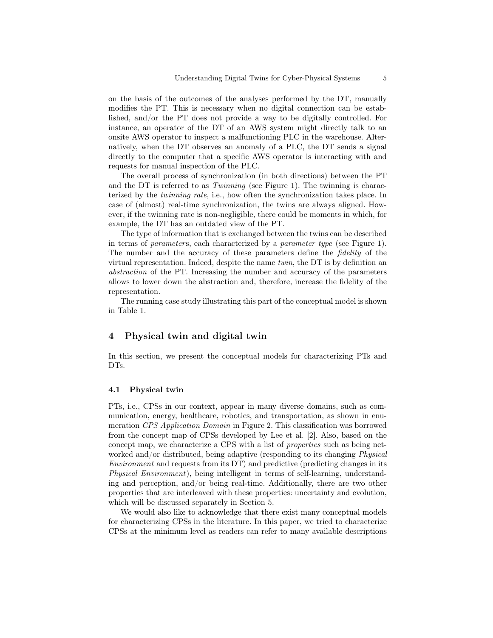on the basis of the outcomes of the analyses performed by the DT, manually modifies the PT. This is necessary when no digital connection can be established, and/or the PT does not provide a way to be digitally controlled. For instance, an operator of the DT of an AWS system might directly talk to an onsite AWS operator to inspect a malfunctioning PLC in the warehouse. Alternatively, when the DT observes an anomaly of a PLC, the DT sends a signal directly to the computer that a specific AWS operator is interacting with and requests for manual inspection of the PLC.

The overall process of synchronization (in both directions) between the PT and the DT is referred to as Twinning (see Figure [1\)](#page-2-1). The twinning is characterized by the twinning rate, i.e., how often the synchronization takes place. In case of (almost) real-time synchronization, the twins are always aligned. However, if the twinning rate is non-negligible, there could be moments in which, for example, the DT has an outdated view of the PT.

The type of information that is exchanged between the twins can be described in terms of parameter s, each characterized by a parameter type (see Figure [1\)](#page-2-1). The number and the accuracy of these parameters define the fidelity of the virtual representation. Indeed, despite the name twin, the DT is by definition an abstraction of the PT. Increasing the number and accuracy of the parameters allows to lower down the abstraction and, therefore, increase the fidelity of the representation.

The running case study illustrating this part of the conceptual model is shown in Table [1.](#page-5-0)

## <span id="page-4-0"></span>4 Physical twin and digital twin

In this section, we present the conceptual models for characterizing PTs and DTs.

#### <span id="page-4-1"></span>4.1 Physical twin

PTs, i.e., CPSs in our context, appear in many diverse domains, such as communication, energy, healthcare, robotics, and transportation, as shown in enumeration CPS Application Domain in Figure [2.](#page-6-1) This classification was borrowed from the concept map of CPSs developed by Lee et al. [\[2\]](#page-15-1). Also, based on the concept map, we characterize a CPS with a list of properties such as being networked and/or distributed, being adaptive (responding to its changing *Physical* Environment and requests from its DT) and predictive (predicting changes in its Physical Environment), being intelligent in terms of self-learning, understanding and perception, and/or being real-time. Additionally, there are two other properties that are interleaved with these properties: uncertainty and evolution, which will be discussed separately in Section [5.](#page-9-0)

We would also like to acknowledge that there exist many conceptual models for characterizing CPSs in the literature. In this paper, we tried to characterize CPSs at the minimum level as readers can refer to many available descriptions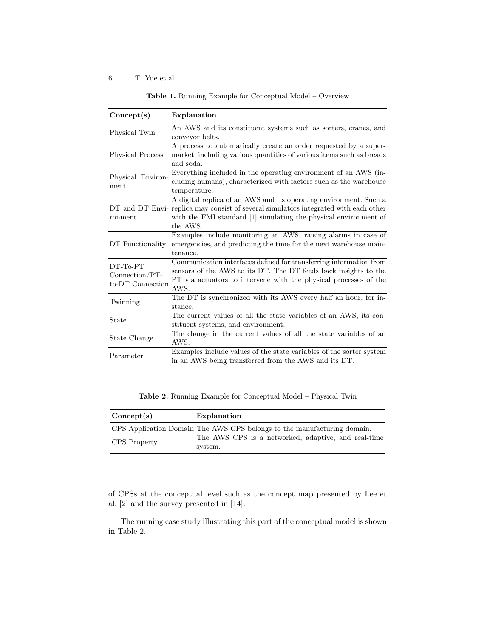<span id="page-5-0"></span>Table 1. Running Example for Conceptual Model – Overview

| Concept(s)                                         | Explanation                                                                                                                                                                                                                              |
|----------------------------------------------------|------------------------------------------------------------------------------------------------------------------------------------------------------------------------------------------------------------------------------------------|
| Physical Twin                                      | An AWS and its constituent systems such as sorters, cranes, and<br>conveyor belts.                                                                                                                                                       |
| <b>Physical Process</b>                            | A process to automatically create an order requested by a super-<br>market, including various quantities of various items such as breads<br>and soda.                                                                                    |
| Physical Environ-<br>ment                          | Everything included in the operating environment of an AWS (in-<br>cluding humans), characterized with factors such as the warehouse<br>temperature.                                                                                     |
| ronment                                            | A digital replica of an AWS and its operating environment. Such a<br>DT and DT Envi-replica may consist of several simulators integrated with each other<br>with the FMI standard [1] simulating the physical environment of<br>the AWS. |
| DT Functionality                                   | Examples include monitoring an AWS, raising alarms in case of<br>emergencies, and predicting the time for the next warehouse main-<br>tenance.                                                                                           |
| $DT-To-PT$<br>$Connection/PT-$<br>to-DT Connection | Communication interfaces defined for transferring information from<br>sensors of the AWS to its DT. The DT feeds back insights to the<br>PT via actuators to intervene with the physical processes of the<br>AWS.                        |
| Twinning                                           | The DT is synchronized with its AWS every half an hour, for in-<br>stance.                                                                                                                                                               |
| State                                              | The current values of all the state variables of an AWS, its con-<br>stituent systems, and environment.                                                                                                                                  |
| State Change                                       | The change in the current values of all the state variables of an<br>AWS.                                                                                                                                                                |
| Parameter                                          | Examples include values of the state variables of the sorter system<br>in an AWS being transferred from the AWS and its DT.                                                                                                              |

<span id="page-5-1"></span>Table 2. Running Example for Conceptual Model – Physical Twin

| Concept(s)   | Explanation                                                             |
|--------------|-------------------------------------------------------------------------|
|              | CPS Application Domain The AWS CPS belongs to the manufacturing domain. |
| CPS Property | The AWS CPS is a networked, adaptive, and real-time<br>system.          |

of CPSs at the conceptual level such as the concept map presented by Lee et al. [\[2\]](#page-15-1) and the survey presented in [\[14\]](#page-16-5).

The running case study illustrating this part of the conceptual model is shown in Table [2.](#page-5-1)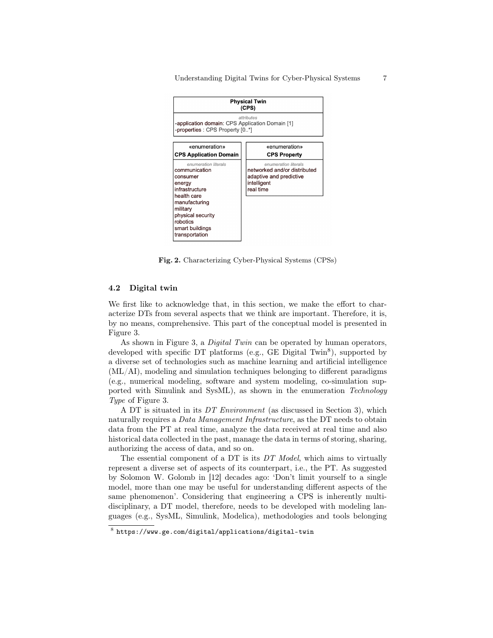

<span id="page-6-1"></span>Fig. 2. Characterizing Cyber-Physical Systems (CPSs)

#### <span id="page-6-0"></span>4.2 Digital twin

We first like to acknowledge that, in this section, we make the effort to characterize DTs from several aspects that we think are important. Therefore, it is, by no means, comprehensive. This part of the conceptual model is presented in Figure [3.](#page-7-0)

As shown in Figure [3,](#page-7-0) a *Digital Twin* can be operated by human operators, developed with specific DT platforms (e.g., GE Digital Twin<sup>[8](#page-6-2)</sup>), supported by a diverse set of technologies such as machine learning and artificial intelligence (ML/AI), modeling and simulation techniques belonging to different paradigms (e.g., numerical modeling, software and system modeling, co-simulation supported with Simulink and SysML), as shown in the enumeration Technology Type of Figure [3.](#page-7-0)

A DT is situated in its DT Environment (as discussed in Section [3\)](#page-2-0), which naturally requires a *Data Management Infrastructure*, as the DT needs to obtain data from the PT at real time, analyze the data received at real time and also historical data collected in the past, manage the data in terms of storing, sharing, authorizing the access of data, and so on.

The essential component of a DT is its  $DT$  Model, which aims to virtually represent a diverse set of aspects of its counterpart, i.e., the PT. As suggested by Solomon W. Golomb in [\[12\]](#page-16-6) decades ago: 'Don't limit yourself to a single model, more than one may be useful for understanding different aspects of the same phenomenon'. Considering that engineering a CPS is inherently multidisciplinary, a DT model, therefore, needs to be developed with modeling languages (e.g., SysML, Simulink, Modelica), methodologies and tools belonging

<span id="page-6-2"></span> $^8$ <https://www.ge.com/digital/applications/digital-twin>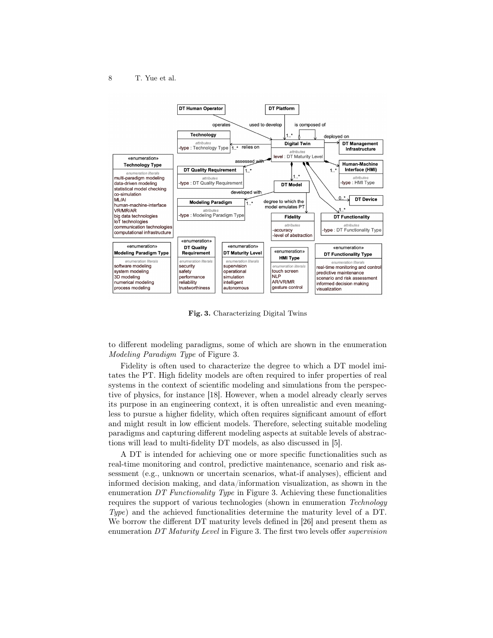

<span id="page-7-0"></span>Fig. 3. Characterizing Digital Twins

to different modeling paradigms, some of which are shown in the enumeration Modeling Paradigm Type of Figure [3.](#page-7-0)

Fidelity is often used to characterize the degree to which a DT model imitates the PT. High fidelity models are often required to infer properties of real systems in the context of scientific modeling and simulations from the perspective of physics, for instance [\[18\]](#page-17-7). However, when a model already clearly serves its purpose in an engineering context, it is often unrealistic and even meaningless to pursue a higher fidelity, which often requires significant amount of effort and might result in low efficient models. Therefore, selecting suitable modeling paradigms and capturing different modeling aspects at suitable levels of abstractions will lead to multi-fidelity DT models, as also discussed in [\[5\]](#page-16-7).

A DT is intended for achieving one or more specific functionalities such as real-time monitoring and control, predictive maintenance, scenario and risk assessment (e.g., unknown or uncertain scenarios, what-if analyses), efficient and informed decision making, and data/information visualization, as shown in the enumeration  $DT\ Functionality\ Type\ in\ Figure\ 3.$  $DT\ Functionality\ Type\ in\ Figure\ 3.$  Achieving these functionalities requires the support of various technologies (shown in enumeration Technology Type) and the achieved functionalities determine the maturity level of a DT. We borrow the different DT maturity levels defined in [\[26\]](#page-17-8) and present them as enumeration DT Maturity Level in Figure [3.](#page-7-0) The first two levels offer supervision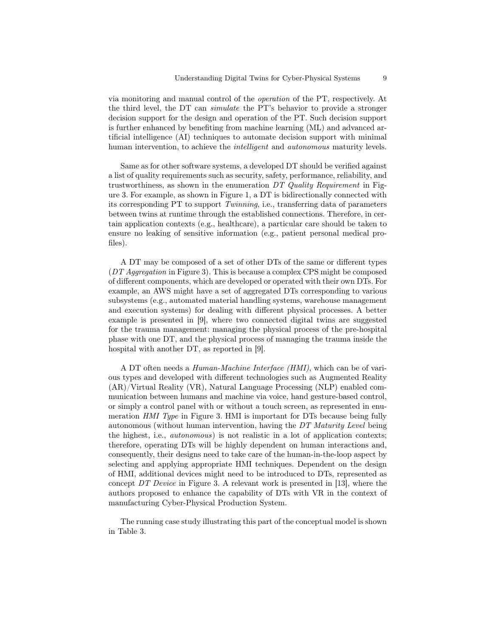via monitoring and manual control of the operation of the PT, respectively. At the third level, the DT can simulate the PT's behavior to provide a stronger decision support for the design and operation of the PT. Such decision support is further enhanced by benefiting from machine learning (ML) and advanced artificial intelligence (AI) techniques to automate decision support with minimal human intervention, to achieve the *intelligent* and *autonomous* maturity levels.

Same as for other software systems, a developed DT should be verified against a list of quality requirements such as security, safety, performance, reliability, and trustworthiness, as shown in the enumeration DT Quality Requirement in Figure [3.](#page-7-0) For example, as shown in Figure [1,](#page-2-1) a DT is bidirectionally connected with its corresponding PT to support Twinning, i.e., transferring data of parameters between twins at runtime through the established connections. Therefore, in certain application contexts (e.g., healthcare), a particular care should be taken to ensure no leaking of sensitive information (e.g., patient personal medical profiles).

A DT may be composed of a set of other DTs of the same or different types (DT Aggregation in Figure [3\)](#page-7-0). This is because a complex CPS might be composed of different components, which are developed or operated with their own DTs. For example, an AWS might have a set of aggregated DTs corresponding to various subsystems (e.g., automated material handling systems, warehouse management and execution systems) for dealing with different physical processes. A better example is presented in [\[9\]](#page-16-8), where two connected digital twins are suggested for the trauma management: managing the physical process of the pre-hospital phase with one DT, and the physical process of managing the trauma inside the hospital with another DT, as reported in [\[9\]](#page-16-8).

A DT often needs a Human-Machine Interface (HMI), which can be of various types and developed with different technologies such as Augmented Reality (AR)/Virtual Reality (VR), Natural Language Processing (NLP) enabled communication between humans and machine via voice, hand gesture-based control, or simply a control panel with or without a touch screen, as represented in enu-meration HMI Type in Figure [3.](#page-7-0) HMI is important for DTs because being fully autonomous (without human intervention, having the DT Maturity Level being the highest, i.e., autonomous) is not realistic in a lot of application contexts; therefore, operating DTs will be highly dependent on human interactions and, consequently, their designs need to take care of the human-in-the-loop aspect by selecting and applying appropriate HMI techniques. Dependent on the design of HMI, additional devices might need to be introduced to DTs, represented as concept DT Device in Figure [3.](#page-7-0) A relevant work is presented in [\[13\]](#page-16-9), where the authors proposed to enhance the capability of DTs with VR in the context of manufacturing Cyber-Physical Production System.

The running case study illustrating this part of the conceptual model is shown in Table [3.](#page-9-1)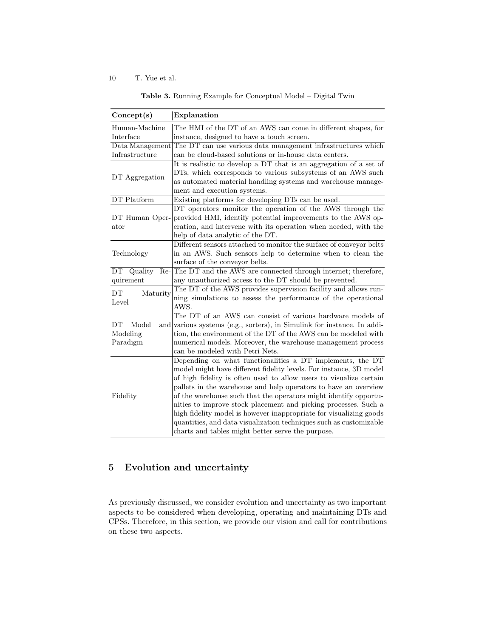<span id="page-9-1"></span>Table 3. Running Example for Conceptual Model – Digital Twin

| Concept(s)                          | Explanation                                                                                                                                                                                                                                                                                                                                                                                                                                                                                                                                                                                                      |
|-------------------------------------|------------------------------------------------------------------------------------------------------------------------------------------------------------------------------------------------------------------------------------------------------------------------------------------------------------------------------------------------------------------------------------------------------------------------------------------------------------------------------------------------------------------------------------------------------------------------------------------------------------------|
| Human-Machine                       | The HMI of the DT of an AWS can come in different shapes, for                                                                                                                                                                                                                                                                                                                                                                                                                                                                                                                                                    |
| Interface                           | instance, designed to have a touch screen.                                                                                                                                                                                                                                                                                                                                                                                                                                                                                                                                                                       |
| Data Management                     | The DT can use various data management infrastructures which                                                                                                                                                                                                                                                                                                                                                                                                                                                                                                                                                     |
| Infrastructure                      | can be cloud-based solutions or in-house data centers.                                                                                                                                                                                                                                                                                                                                                                                                                                                                                                                                                           |
| DT Aggregation                      | It is realistic to develop a DT that is an aggregation of a set of<br>DTs, which corresponds to various subsystems of an AWS such<br>as automated material handling systems and warehouse manage-<br>ment and execution systems.                                                                                                                                                                                                                                                                                                                                                                                 |
| DT Platform                         | Existing platforms for developing DTs can be used.                                                                                                                                                                                                                                                                                                                                                                                                                                                                                                                                                               |
| DT Human Oper-<br>ator              | DT operators monitor the operation of the AWS through the<br>provided HMI, identify potential improvements to the AWS op-<br>eration, and intervene with its operation when needed, with the<br>help of data analytic of the DT.                                                                                                                                                                                                                                                                                                                                                                                 |
| Technology                          | Different sensors attached to monitor the surface of conveyor belts<br>in an AWS. Such sensors help to determine when to clean the<br>surface of the conveyor belts.                                                                                                                                                                                                                                                                                                                                                                                                                                             |
| DT Quality                          | Re-The DT and the AWS are connected through internet; therefore,                                                                                                                                                                                                                                                                                                                                                                                                                                                                                                                                                 |
| quirement                           | any unauthorized access to the DT should be prevented.                                                                                                                                                                                                                                                                                                                                                                                                                                                                                                                                                           |
| DT<br>Maturity<br>Level             | The DT of the AWS provides supervision facility and allows run-<br>ning simulations to assess the performance of the operational<br>AWS.                                                                                                                                                                                                                                                                                                                                                                                                                                                                         |
| DT<br>Model<br>Modeling<br>Paradigm | The DT of an AWS can consist of various hardware models of<br>and various systems (e.g., sorters), in Simulink for instance. In addi-<br>tion, the environment of the DT of the AWS can be modeled with<br>numerical models. Moreover, the warehouse management process<br>can be modeled with Petri Nets.                                                                                                                                                                                                                                                                                                       |
| Fidelity                            | Depending on what functionalities a DT implements, the DT<br>model might have different fidelity levels. For instance, 3D model<br>of high fidelity is often used to allow users to visualize certain<br>pallets in the warehouse and help operators to have an overview<br>of the warehouse such that the operators might identify opportu-<br>nities to improve stock placement and picking processes. Such a<br>high fidelity model is however inappropriate for visualizing goods<br>quantities, and data visualization techniques such as customizable<br>charts and tables might better serve the purpose. |

## <span id="page-9-0"></span>5 Evolution and uncertainty

As previously discussed, we consider evolution and uncertainty as two important aspects to be considered when developing, operating and maintaining DTs and CPSs. Therefore, in this section, we provide our vision and call for contributions on these two aspects.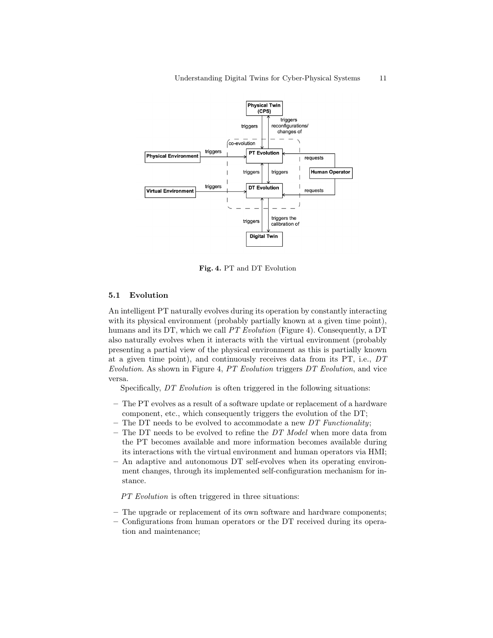

<span id="page-10-0"></span>Fig. 4. PT and DT Evolution

#### 5.1 Evolution

An intelligent PT naturally evolves during its operation by constantly interacting with its physical environment (probably partially known at a given time point), humans and its DT, which we call PT Evolution (Figure [4\)](#page-10-0). Consequently, a DT also naturally evolves when it interacts with the virtual environment (probably presenting a partial view of the physical environment as this is partially known at a given time point), and continuously receives data from its PT, i.e., DT Evolution. As shown in Figure [4,](#page-10-0) PT Evolution triggers DT Evolution, and vice versa.

Specifically, DT Evolution is often triggered in the following situations:

- The PT evolves as a result of a software update or replacement of a hardware component, etc., which consequently triggers the evolution of the DT;
- The DT needs to be evolved to accommodate a new  $DT$  Functionality;
- The DT needs to be evolved to refine the  $DT$  Model when more data from the PT becomes available and more information becomes available during its interactions with the virtual environment and human operators via HMI;
- An adaptive and autonomous DT self-evolves when its operating environment changes, through its implemented self-configuration mechanism for instance.

PT Evolution is often triggered in three situations:

- The upgrade or replacement of its own software and hardware components;
- Configurations from human operators or the DT received during its operation and maintenance;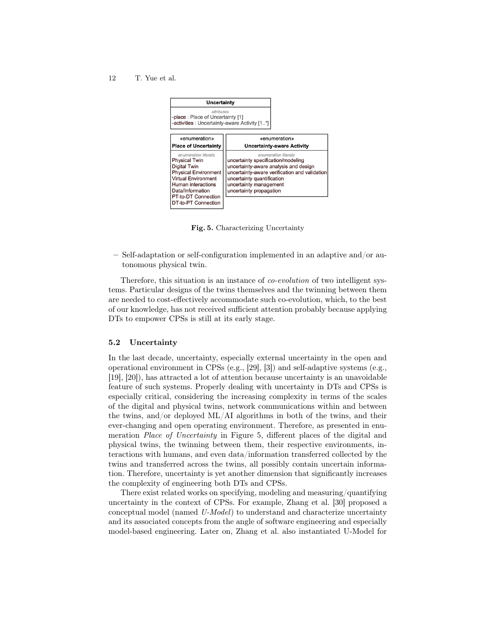

<span id="page-11-0"></span>Fig. 5. Characterizing Uncertainty

– Self-adaptation or self-configuration implemented in an adaptive and/or autonomous physical twin.

Therefore, this situation is an instance of *co-evolution* of two intelligent systems. Particular designs of the twins themselves and the twinning between them are needed to cost-effectively accommodate such co-evolution, which, to the best of our knowledge, has not received sufficient attention probably because applying DTs to empower CPSs is still at its early stage.

#### 5.2 Uncertainty

In the last decade, uncertainty, especially external uncertainty in the open and operational environment in CPSs (e.g., [\[29\]](#page-17-4), [\[3\]](#page-16-10)) and self-adaptive systems (e.g., [\[19\]](#page-17-9), [\[20\]](#page-17-10)), has attracted a lot of attention because uncertainty is an unavoidable feature of such systems. Properly dealing with uncertainty in DTs and CPSs is especially critical, considering the increasing complexity in terms of the scales of the digital and physical twins, network communications within and between the twins, and/or deployed ML/AI algorithms in both of the twins, and their ever-changing and open operating environment. Therefore, as presented in enumeration Place of Uncertainty in Figure [5,](#page-11-0) different places of the digital and physical twins, the twinning between them, their respective environments, interactions with humans, and even data/information transferred collected by the twins and transferred across the twins, all possibly contain uncertain information. Therefore, uncertainty is yet another dimension that significantly increases the complexity of engineering both DTs and CPSs.

There exist related works on specifying, modeling and measuring/quantifying uncertainty in the context of CPSs. For example, Zhang et al. [\[30\]](#page-17-3) proposed a conceptual model (named U-Model) to understand and characterize uncertainty and its associated concepts from the angle of software engineering and especially model-based engineering. Later on, Zhang et al. also instantiated U-Model for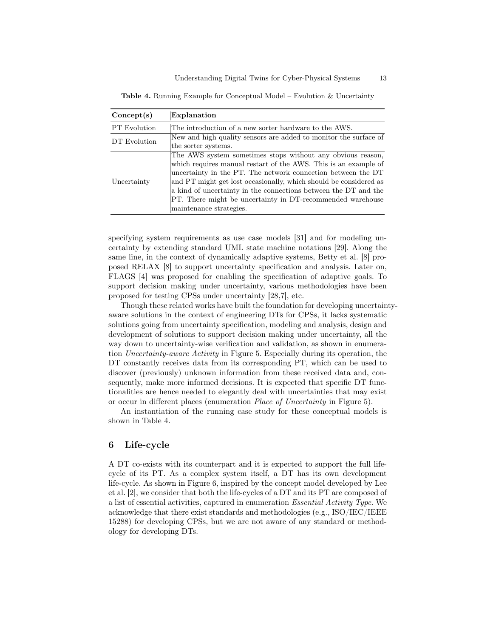| Concept(s)          | Explanation                                                                                                                                                                                                                                                                                                                                                                                                                    |
|---------------------|--------------------------------------------------------------------------------------------------------------------------------------------------------------------------------------------------------------------------------------------------------------------------------------------------------------------------------------------------------------------------------------------------------------------------------|
| <b>PT</b> Evolution | The introduction of a new sorter hardware to the AWS.                                                                                                                                                                                                                                                                                                                                                                          |
| DT Evolution        | New and high quality sensors are added to monitor the surface of                                                                                                                                                                                                                                                                                                                                                               |
|                     | the sorter systems.                                                                                                                                                                                                                                                                                                                                                                                                            |
| Uncertainty         | The AWS system sometimes stops without any obvious reason,<br>which requires manual restart of the AWS. This is an example of<br>uncertainty in the PT. The network connection between the DT<br>and PT might get lost occasionally, which should be considered as<br>a kind of uncertainty in the connections between the DT and the<br>PT. There might be uncertainty in DT-recommended warehouse<br>maintenance strategies. |

<span id="page-12-1"></span>Table 4. Running Example for Conceptual Model – Evolution & Uncertainty

specifying system requirements as use case models [\[31\]](#page-17-11) and for modeling uncertainty by extending standard UML state machine notations [\[29\]](#page-17-4). Along the same line, in the context of dynamically adaptive systems, Betty et al. [\[8\]](#page-16-11) proposed RELAX [\[8\]](#page-16-11) to support uncertainty specification and analysis. Later on, FLAGS [\[4\]](#page-16-12) was proposed for enabling the specification of adaptive goals. To support decision making under uncertainty, various methodologies have been proposed for testing CPSs under uncertainty [\[28,](#page-17-5)[7\]](#page-16-13), etc.

Though these related works have built the foundation for developing uncertaintyaware solutions in the context of engineering DTs for CPSs, it lacks systematic solutions going from uncertainty specification, modeling and analysis, design and development of solutions to support decision making under uncertainty, all the way down to uncertainty-wise verification and validation, as shown in enumeration Uncertainty-aware Activity in Figure [5.](#page-11-0) Especially during its operation, the DT constantly receives data from its corresponding PT, which can be used to discover (previously) unknown information from these received data and, consequently, make more informed decisions. It is expected that specific DT functionalities are hence needed to elegantly deal with uncertainties that may exist or occur in different places (enumeration Place of Uncertainty in Figure [5\)](#page-11-0).

An instantiation of the running case study for these conceptual models is shown in Table [4.](#page-12-1)

#### <span id="page-12-0"></span>6 Life-cycle

A DT co-exists with its counterpart and it is expected to support the full lifecycle of its PT. As a complex system itself, a DT has its own development life-cycle. As shown in Figure [6,](#page-13-1) inspired by the concept model developed by Lee et al. [\[2\]](#page-15-1), we consider that both the life-cycles of a DT and its PT are composed of a list of essential activities, captured in enumeration Essential Activity Type. We acknowledge that there exist standards and methodologies (e.g., ISO/IEC/IEEE 15288) for developing CPSs, but we are not aware of any standard or methodology for developing DTs.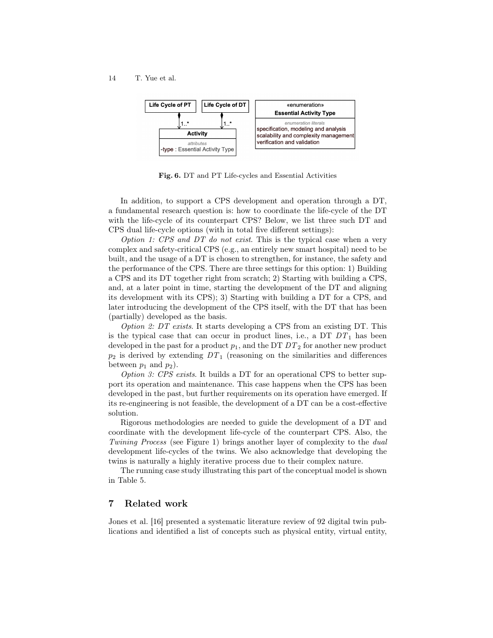

<span id="page-13-1"></span>Fig. 6. DT and PT Life-cycles and Essential Activities

In addition, to support a CPS development and operation through a DT, a fundamental research question is: how to coordinate the life-cycle of the DT with the life-cycle of its counterpart CPS? Below, we list three such DT and CPS dual life-cycle options (with in total five different settings):

Option 1: CPS and DT do not exist. This is the typical case when a very complex and safety-critical CPS (e.g., an entirely new smart hospital) need to be built, and the usage of a DT is chosen to strengthen, for instance, the safety and the performance of the CPS. There are three settings for this option: 1) Building a CPS and its DT together right from scratch; 2) Starting with building a CPS, and, at a later point in time, starting the development of the DT and aligning its development with its CPS); 3) Starting with building a DT for a CPS, and later introducing the development of the CPS itself, with the DT that has been (partially) developed as the basis.

*Option 2: DT exists.* It starts developing a CPS from an existing DT. This is the typical case that can occur in product lines, i.e., a DT  $DT_1$  has been developed in the past for a product  $p_1$ , and the DT  $DT_2$  for another new product  $p_2$  is derived by extending  $DT_1$  (reasoning on the similarities and differences between  $p_1$  and  $p_2$ ).

Option 3: CPS exists. It builds a DT for an operational CPS to better support its operation and maintenance. This case happens when the CPS has been developed in the past, but further requirements on its operation have emerged. If its re-engineering is not feasible, the development of a DT can be a cost-effective solution.

Rigorous methodologies are needed to guide the development of a DT and coordinate with the development life-cycle of the counterpart CPS. Also, the Twining Process (see Figure [1\)](#page-2-1) brings another layer of complexity to the dual development life-cycles of the twins. We also acknowledge that developing the twins is naturally a highly iterative process due to their complex nature.

The running case study illustrating this part of the conceptual model is shown in Table [5.](#page-14-0)

## <span id="page-13-0"></span>7 Related work

Jones et al. [\[16\]](#page-16-2) presented a systematic literature review of 92 digital twin publications and identified a list of concepts such as physical entity, virtual entity,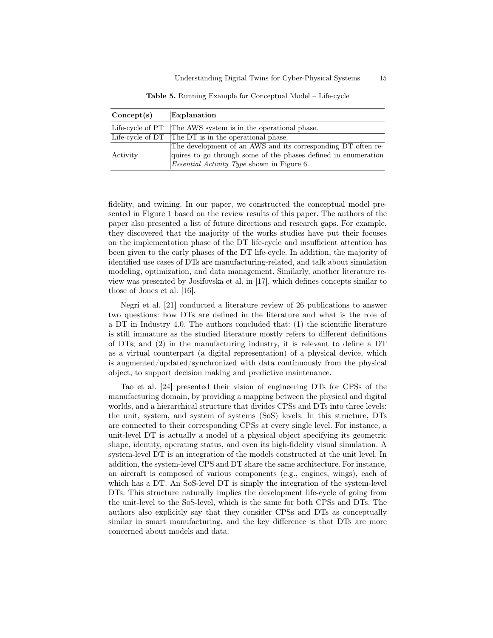| Concept(s)       | Explanation                                                                                                                                                                         |
|------------------|-------------------------------------------------------------------------------------------------------------------------------------------------------------------------------------|
| Life-cycle of PT | The AWS system is in the operational phase.                                                                                                                                         |
| Life-cycle of DT | The DT is in the operational phase.                                                                                                                                                 |
| Activity         | The development of an AWS and its corresponding DT often re-<br>quires to go through some of the phases defined in enumeration<br><i>Essential Activity Type shown in Figure 6.</i> |

<span id="page-14-0"></span>Table 5. Running Example for Conceptual Model – Life-cycle

fidelity, and twining. In our paper, we constructed the conceptual model presented in Figure [1](#page-2-1) based on the review results of this paper. The authors of the paper also presented a list of future directions and research gaps. For example, they discovered that the majority of the works studies have put their focuses on the implementation phase of the DT life-cycle and insufficient attention has been given to the early phases of the DT life-cycle. In addition, the majority of identified use cases of DTs are manufacturing-related, and talk about simulation modeling, optimization, and data management. Similarly, another literature review was presented by Josifovska et al. in [\[17\]](#page-16-14), which defines concepts similar to those of Jones et al. [\[16\]](#page-16-2).

Negri et al. [\[21\]](#page-17-0) conducted a literature review of 26 publications to answer two questions: how DTs are defined in the literature and what is the role of a DT in Industry 4.0. The authors concluded that: (1) the scientific literature is still immature as the studied literature mostly refers to different definitions of DTs; and (2) in the manufacturing industry, it is relevant to define a DT as a virtual counterpart (a digital representation) of a physical device, which is augmented/updated/synchronized with data continuously from the physical object, to support decision making and predictive maintenance.

Tao et al. [\[24\]](#page-17-12) presented their vision of engineering DTs for CPSs of the manufacturing domain, by providing a mapping between the physical and digital worlds, and a hierarchical structure that divides CPSs and DTs into three levels: the unit, system, and system of systems (SoS) levels. In this structure, DTs are connected to their corresponding CPSs at every single level. For instance, a unit-level DT is actually a model of a physical object specifying its geometric shape, identity, operating status, and even its high-fidelity visual simulation. A system-level DT is an integration of the models constructed at the unit level. In addition, the system-level CPS and DT share the same architecture. For instance, an aircraft is composed of various components (e.g., engines, wings), each of which has a DT. An SoS-level DT is simply the integration of the system-level DTs. This structure naturally implies the development life-cycle of going from the unit-level to the SoS-level, which is the same for both CPSs and DTs. The authors also explicitly say that they consider CPSs and DTs as conceptually similar in smart manufacturing, and the key difference is that DTs are more concerned about models and data.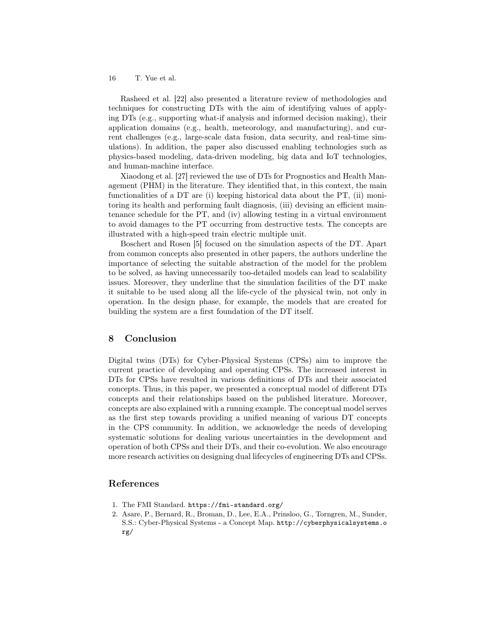Rasheed et al. [\[22\]](#page-17-2) also presented a literature review of methodologies and techniques for constructing DTs with the aim of identifying values of applying DTs (e.g., supporting what-if analysis and informed decision making), their application domains (e.g., health, meteorology, and manufacturing), and current challenges (e.g., large-scale data fusion, data security, and real-time simulations). In addition, the paper also discussed enabling technologies such as physics-based modeling, data-driven modeling, big data and IoT technologies, and human-machine interface.

Xiaodong et al. [\[27\]](#page-17-13) reviewed the use of DTs for Prognostics and Health Management (PHM) in the literature. They identified that, in this context, the main functionalities of a DT are (i) keeping historical data about the PT, (ii) monitoring its health and performing fault diagnosis, (iii) devising an efficient maintenance schedule for the PT, and (iv) allowing testing in a virtual environment to avoid damages to the PT occurring from destructive tests. The concepts are illustrated with a high-speed train electric multiple unit.

Boschert and Rosen [\[5\]](#page-16-7) focused on the simulation aspects of the DT. Apart from common concepts also presented in other papers, the authors underline the importance of selecting the suitable abstraction of the model for the problem to be solved, as having unnecessarily too-detailed models can lead to scalability issues. Moreover, they underline that the simulation facilities of the DT make it suitable to be used along all the life-cycle of the physical twin, not only in operation. In the design phase, for example, the models that are created for building the system are a first foundation of the DT itself.

#### <span id="page-15-0"></span>8 Conclusion

Digital twins (DTs) for Cyber-Physical Systems (CPSs) aim to improve the current practice of developing and operating CPSs. The increased interest in DTs for CPSs have resulted in various definitions of DTs and their associated concepts. Thus, in this paper, we presented a conceptual model of different DTs concepts and their relationships based on the published literature. Moreover, concepts are also explained with a running example. The conceptual model serves as the first step towards providing a unified meaning of various DT concepts in the CPS community. In addition, we acknowledge the needs of developing systematic solutions for dealing various uncertainties in the development and operation of both CPSs and their DTs, and their co-evolution. We also encourage more research activities on designing dual lifecycles of engineering DTs and CPSs.

#### References

- <span id="page-15-2"></span>1. The FMI Standard. <https://fmi-standard.org/>
- <span id="page-15-1"></span>2. Asare, P., Bernard, R., Broman, D., Lee, E.A., Prinsloo, G., Torngren, M., Sunder, S.S.: Cyber-Physical Systems - a Concept Map. [http://cyberphysicalsystems.o](http://cyberphysicalsystems.org/) [rg/](http://cyberphysicalsystems.org/)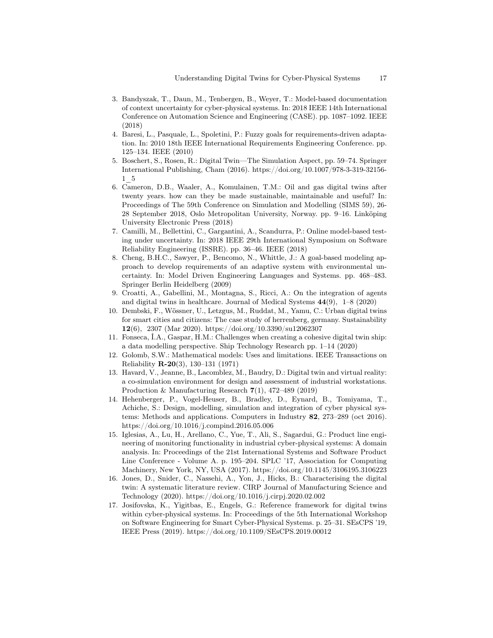- <span id="page-16-10"></span>3. Bandyszak, T., Daun, M., Tenbergen, B., Weyer, T.: Model-based documentation of context uncertainty for cyber-physical systems. In: 2018 IEEE 14th International Conference on Automation Science and Engineering (CASE). pp. 1087–1092. IEEE (2018)
- <span id="page-16-12"></span>4. Baresi, L., Pasquale, L., Spoletini, P.: Fuzzy goals for requirements-driven adaptation. In: 2010 18th IEEE International Requirements Engineering Conference. pp. 125–134. IEEE (2010)
- <span id="page-16-7"></span>5. Boschert, S., Rosen, R.: Digital Twin—The Simulation Aspect, pp. 59–74. Springer International Publishing, Cham (2016). [https://doi.org/10.1007/978-3-319-32156-](https://doi.org/10.1007/978-3-319-32156-1_5) [1\\_5](https://doi.org/10.1007/978-3-319-32156-1_5)
- <span id="page-16-0"></span>6. Cameron, D.B., Waaler, A., Komulainen, T.M.: Oil and gas digital twins after twenty years. how can they be made sustainable, maintainable and useful? In: Proceedings of The 59th Conference on Simulation and Modelling (SIMS 59), 26- 28 September 2018, Oslo Metropolitan University, Norway. pp. 9–16. Linköping University Electronic Press (2018)
- <span id="page-16-13"></span>7. Camilli, M., Bellettini, C., Gargantini, A., Scandurra, P.: Online model-based testing under uncertainty. In: 2018 IEEE 29th International Symposium on Software Reliability Engineering (ISSRE). pp. 36–46. IEEE (2018)
- <span id="page-16-11"></span>8. Cheng, B.H.C., Sawyer, P., Bencomo, N., Whittle, J.: A goal-based modeling approach to develop requirements of an adaptive system with environmental uncertainty. In: Model Driven Engineering Languages and Systems. pp. 468–483. Springer Berlin Heidelberg (2009)
- <span id="page-16-8"></span>9. Croatti, A., Gabellini, M., Montagna, S., Ricci, A.: On the integration of agents and digital twins in healthcare. Journal of Medical Systems 44(9), 1–8 (2020)
- <span id="page-16-4"></span>10. Dembski, F., Wössner, U., Letzgus, M., Ruddat, M., Yamu, C.: Urban digital twins for smart cities and citizens: The case study of herrenberg, germany. Sustainability 12(6), 2307 (Mar 2020). <https://doi.org/10.3390/su12062307>
- <span id="page-16-1"></span>11. Fonseca, Í.A., Gaspar, H.M.: Challenges when creating a cohesive digital twin ship: a data modelling perspective. Ship Technology Research pp. 1–14 (2020)
- <span id="page-16-6"></span>12. Golomb, S.W.: Mathematical models: Uses and limitations. IEEE Transactions on Reliability R-20(3), 130–131 (1971)
- <span id="page-16-9"></span>13. Havard, V., Jeanne, B., Lacomblez, M., Baudry, D.: Digital twin and virtual reality: a co-simulation environment for design and assessment of industrial workstations. Production & Manufacturing Research 7(1), 472–489 (2019)
- <span id="page-16-5"></span>14. Hehenberger, P., Vogel-Heuser, B., Bradley, D., Eynard, B., Tomiyama, T., Achiche, S.: Design, modelling, simulation and integration of cyber physical systems: Methods and applications. Computers in Industry 82, 273–289 (oct 2016). <https://doi.org/10.1016/j.compind.2016.05.006>
- <span id="page-16-3"></span>15. Iglesias, A., Lu, H., Arellano, C., Yue, T., Ali, S., Sagardui, G.: Product line engineering of monitoring functionality in industrial cyber-physical systems: A domain analysis. In: Proceedings of the 21st International Systems and Software Product Line Conference - Volume A. p. 195–204. SPLC '17, Association for Computing Machinery, New York, NY, USA (2017). <https://doi.org/10.1145/3106195.3106223>
- <span id="page-16-2"></span>16. Jones, D., Snider, C., Nassehi, A., Yon, J., Hicks, B.: Characterising the digital twin: A systematic literature review. CIRP Journal of Manufacturing Science and Technology (2020). <https://doi.org/10.1016/j.cirpj.2020.02.002>
- <span id="page-16-14"></span>17. Josifovska, K., Yigitbas, E., Engels, G.: Reference framework for digital twins within cyber-physical systems. In: Proceedings of the 5th International Workshop on Software Engineering for Smart Cyber-Physical Systems. p. 25–31. SEsCPS '19, IEEE Press (2019). <https://doi.org/10.1109/SEsCPS.2019.00012>